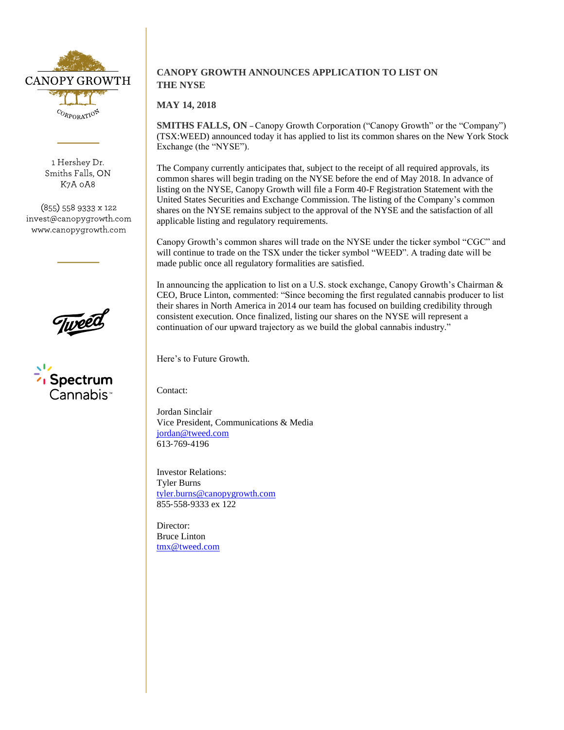

1 Hershey Dr. Smiths Falls, ON K7A 0A8

(855) 558 9333 x 122 invest@canopygrowth.com www.canopygrowth.com



## **CANOPY GROWTH ANNOUNCES APPLICATION TO LIST ON THE NYSE**

## **MAY 14, 2018**

**SMITHS FALLS, ON** – Canopy Growth Corporation ("Canopy Growth" or the "Company") (TSX:WEED) announced today it has applied to list its common shares on the New York Stock Exchange (the "NYSE").

The Company currently anticipates that, subject to the receipt of all required approvals, its common shares will begin trading on the NYSE before the end of May 2018. In advance of listing on the NYSE, Canopy Growth will file a Form 40-F Registration Statement with the United States Securities and Exchange Commission. The listing of the Company's common shares on the NYSE remains subject to the approval of the NYSE and the satisfaction of all applicable listing and regulatory requirements.

Canopy Growth's common shares will trade on the NYSE under the ticker symbol "CGC" and will continue to trade on the TSX under the ticker symbol "WEED". A trading date will be made public once all regulatory formalities are satisfied.

In announcing the application to list on a U.S. stock exchange, Canopy Growth's Chairman & CEO, Bruce Linton, commented: "Since becoming the first regulated cannabis producer to list their shares in North America in 2014 our team has focused on building credibility through consistent execution. Once finalized, listing our shares on the NYSE will represent a continuation of our upward trajectory as we build the global cannabis industry."

Here's to Future Growth.

Contact:

Jordan Sinclair Vice President, Communications & Media [jordan@tweed.com](mailto:jordan@tweed.com) 613‐769‐4196

Investor Relations: Tyler Burns [tyler.burns@canopygrowth.com](mailto:tyler.burns@canopygrowth.com) 855‐558‐9333 ex 122

Director: Bruce Linton [tmx@tweed.com](mailto:tmx@tweed.com)